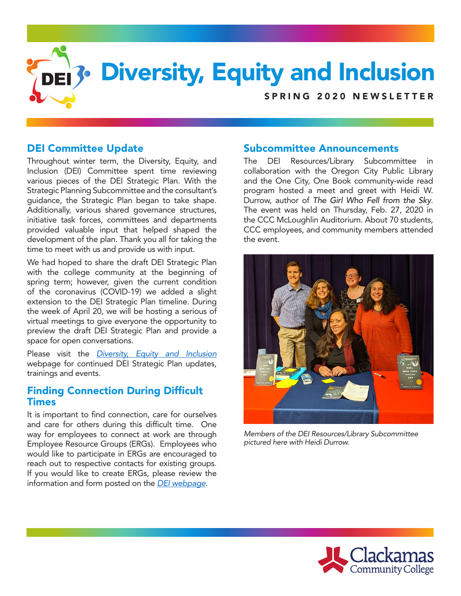

# DEI Committee Update

Throughout winter term, the Diversity, Equity, and Inclusion (DEI) Committee spent time reviewing various pieces of the DEI Strategic Plan. With the Strategic Planning Subcommittee and the consultant's guidance, the Strategic Plan began to take shape. Additionally, various shared governance structures, initiative task forces, committees and departments provided valuable input that helped shaped the development of the plan. Thank you all for taking the time to meet with us and provide us with input.

We had hoped to share the draft DEI Strategic Plan with the college community at the beginning of spring term; however, given the current condition of the coronavirus (COVID-19) we added a slight extension to the DEI Strategic Plan timeline. During the week of April 20, we will be hosting a serious of virtual meetings to give everyone the opportunity to preview the draft DEI Strategic Plan and provide a space for open conversations.

Please visit the *[Diversity, Equity and Inclusion](https://www.clackamas.edu/about-us/vision-initatives/diversity-equity-and-inclusion)* webpage for continued DEI Strategic Plan updates, trainings and events.

## Finding Connection During Difficult Times

It is important to find connection, care for ourselves and care for others during this difficult time. One way for employees to connect at work are through Employee Resource Groups (ERGs). Employees who would like to participate in ERGs are encouraged to reach out to respective contacts for existing groups. If you would like to create ERGs, please review the information and form posted on the *[DEI webpage](https://www.clackamas.edu/about-us/vision-initatives/diversity-equity-and-inclusion)*.

### Subcommittee Announcements

The DEI Resources/Library Subcommittee in collaboration with the Oregon City Public Library and the One City, One Book community-wide read program hosted a meet and greet with Heidi W. Durrow, author of *The Girl Who Fell from the Sky*. The event was held on Thursday, Feb. 27, 2020 in the CCC McLoughlin Auditorium. About 70 students, CCC employees, and community members attended the event.



*Members of the DEI Resources/Library Subcommittee pictured here with Heidi Durrow.*